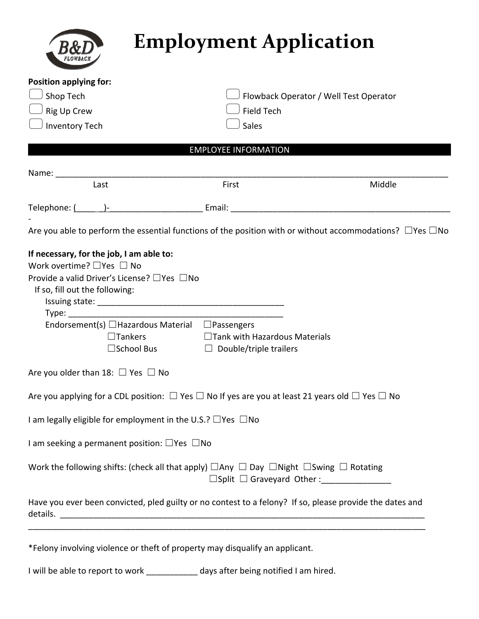|                                                                                                                                                                                                                                                               |                                                                       | <b>Employment Application</b>                               |
|---------------------------------------------------------------------------------------------------------------------------------------------------------------------------------------------------------------------------------------------------------------|-----------------------------------------------------------------------|-------------------------------------------------------------|
| <b>Position applying for:</b><br>Shop Tech<br>Rig Up Crew<br><b>Inventory Tech</b>                                                                                                                                                                            | <b>Field Tech</b><br>Sales                                            | Flowback Operator / Well Test Operator                      |
|                                                                                                                                                                                                                                                               | <b>EMPLOYEE INFORMATION</b>                                           |                                                             |
| Name: when the contract of the contract of the contract of the contract of the contract of the contract of the contract of the contract of the contract of the contract of the contract of the contract of the contract of the<br>Last                        | First                                                                 | Middle                                                      |
|                                                                                                                                                                                                                                                               |                                                                       |                                                             |
| Are you able to perform the essential functions of the position with or without accommodations? $\Box$ Yes $\Box$ No                                                                                                                                          |                                                                       |                                                             |
| If necessary, for the job, I am able to:<br>Work overtime? $\Box$ Yes $\Box$ No<br>Provide a valid Driver's License? □ Yes □ No<br>If so, fill out the following:<br>Endorsement(s) □Hazardous Material □Passengers<br>$\Box$ Tankers<br>$\square$ School Bus | $\Box$ Tank with Hazardous Materials<br>$\Box$ Double/triple trailers |                                                             |
| Are you older than 18: $\Box$ Yes $\Box$ No                                                                                                                                                                                                                   |                                                                       |                                                             |
| Are you applying for a CDL position: $\Box$ Yes $\Box$ No If yes are you at least 21 years old $\Box$ Yes $\Box$ No                                                                                                                                           |                                                                       |                                                             |
| I am legally eligible for employment in the U.S.? $\Box$ Yes $\Box$ No                                                                                                                                                                                        |                                                                       |                                                             |
| I am seeking a permanent position: $\Box$ Yes $\Box$ No                                                                                                                                                                                                       |                                                                       |                                                             |
| Work the following shifts: (check all that apply) $\Box$ Any $\Box$ Day $\Box$ Night $\Box$ Swing $\Box$ Rotating                                                                                                                                             |                                                                       | $\Box$ Split $\Box$ Graveyard Other:                        |
| Have you ever been convicted, pled guilty or no contest to a felony? If so, please provide the dates and                                                                                                                                                      |                                                                       |                                                             |
| *Felony involving violence or theft of property may disqualify an applicant.                                                                                                                                                                                  |                                                                       | <u> 1980 - Johann Stoff, amerikansk politiker (d. 1980)</u> |

I will be able to report to work \_\_\_\_\_\_\_\_\_\_\_ days after being notified I am hired.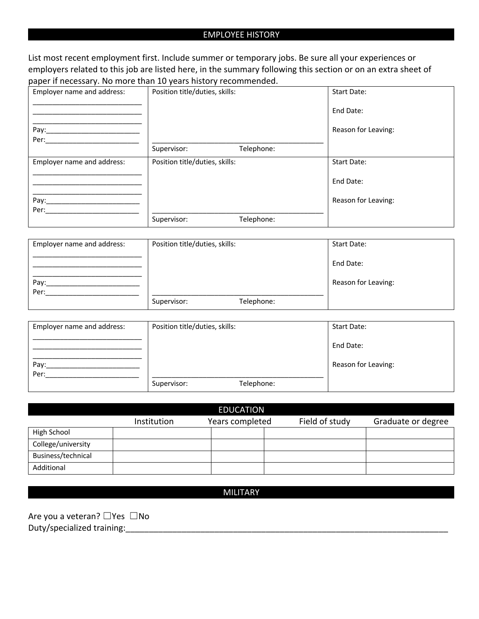# EMPLOYEE HISTORY

List most recent employment first. Include summer or temporary jobs. Be sure all your experiences or employers related to this job are listed here, in the summary following this section or on an extra sheet of paper if necessary. No more than 10 years history recommended.

| Employer name and address: | Position title/duties, skills: |            | <b>Start Date:</b>  |
|----------------------------|--------------------------------|------------|---------------------|
|                            |                                |            | End Date:           |
| Pay:                       |                                |            | Reason for Leaving: |
| Per:                       | Supervisor:                    | Telephone: |                     |
| Employer name and address: | Position title/duties, skills: |            | Start Date:         |
|                            |                                |            | End Date:           |
| Pay:<br>Per:               |                                |            | Reason for Leaving: |
|                            | Supervisor:                    | Telephone: |                     |

| Employer name and address: | Position title/duties, skills: |            | Start Date:         |  |
|----------------------------|--------------------------------|------------|---------------------|--|
|                            |                                |            | End Date:           |  |
| Pay:                       |                                |            | Reason for Leaving: |  |
| Per:                       |                                |            |                     |  |
|                            | Supervisor:                    | Telephone: |                     |  |

| Employer name and address: | Position title/duties, skills: |            | Start Date:         |
|----------------------------|--------------------------------|------------|---------------------|
|                            |                                |            | End Date:           |
| Pay:<br>Per:               |                                |            | Reason for Leaving: |
|                            | Supervisor:                    | Telephone: |                     |

|                    |             | <b>EDUCATION</b> |                |                    |
|--------------------|-------------|------------------|----------------|--------------------|
|                    | Institution | Years completed  | Field of study | Graduate or degree |
| High School        |             |                  |                |                    |
| College/university |             |                  |                |                    |
| Business/technical |             |                  |                |                    |
| Additional         |             |                  |                |                    |

MILITARY

Are you a veteran? □Yes □No Duty/specialized training: